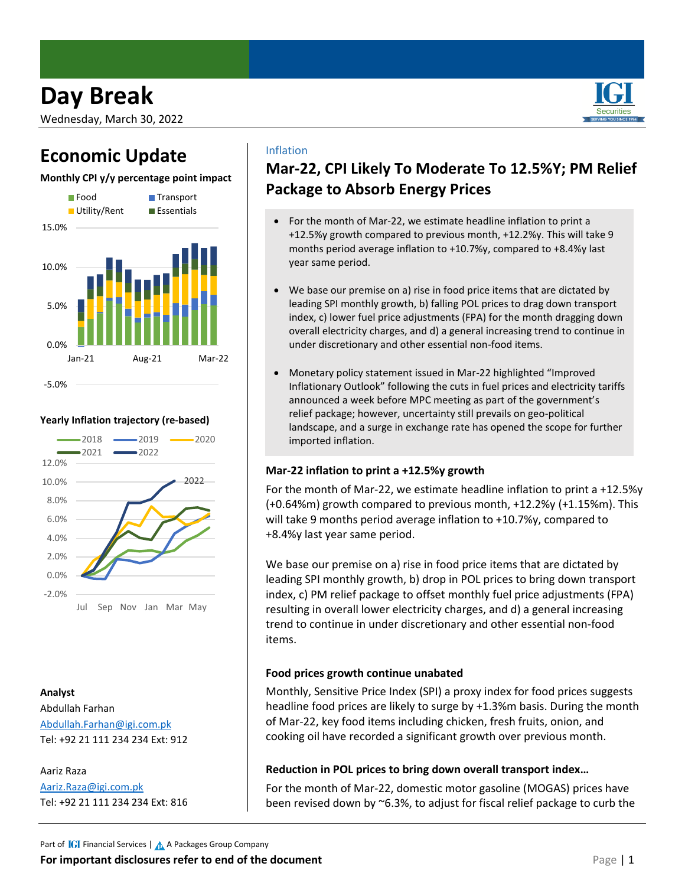# **Day Break**

Wednesday, March 30, 2022

# **Economic Update**

### **Monthly CPI y/y percentage point impact**



#### **Yearly Inflation trajectory (re-based)**



#### **Analyst**

Abdullah Farhan [Abdullah.Farhan@igi.com.pk](mailto:Abdullah.Farhan@igi.com.pk) Tel: +92 21 111 234 234 Ext: 912

Aariz Raza [Aariz.Raza@igi.com.pk](mailto:Aariz.Raza@igi.com.pk) Tel: +92 21 111 234 234 Ext: 816

### Inflation

### **Mar-22, CPI Likely To Moderate To 12.5%Y; PM Relief Package to Absorb Energy Prices**

- For the month of Mar-22, we estimate headline inflation to print a +12.5%y growth compared to previous month, +12.2%y. This will take 9 months period average inflation to +10.7%y, compared to +8.4%y last year same period.
- We base our premise on a) rise in food price items that are dictated by leading SPI monthly growth, b) falling POL prices to drag down transport index, c) lower fuel price adjustments (FPA) for the month dragging down overall electricity charges, and d) a general increasing trend to continue in under discretionary and other essential non-food items.
- Monetary policy statement issued in Mar-22 highlighted "Improved Inflationary Outlook" following the cuts in fuel prices and electricity tariffs announced a week before MPC meeting as part of the government's relief package; however, uncertainty still prevails on geo-political landscape, and a surge in exchange rate has opened the scope for further imported inflation.

#### **Mar-22 inflation to print a +12.5%y growth**

For the month of Mar-22, we estimate headline inflation to print a +12.5%y (+0.64%m) growth compared to previous month, +12.2%y (+1.15%m). This will take 9 months period average inflation to +10.7%y, compared to +8.4%y last year same period.

We base our premise on a) rise in food price items that are dictated by leading SPI monthly growth, b) drop in POL prices to bring down transport index, c) PM relief package to offset monthly fuel price adjustments (FPA) resulting in overall lower electricity charges, and d) a general increasing trend to continue in under discretionary and other essential non-food items.

#### **Food prices growth continue unabated**

Monthly, Sensitive Price Index (SPI) a proxy index for food prices suggests headline food prices are likely to surge by +1.3%m basis. During the month of Mar-22, key food items including chicken, fresh fruits, onion, and cooking oil have recorded a significant growth over previous month.

#### **Reduction in POL prices to bring down overall transport index…**

For the month of Mar-22, domestic motor gasoline (MOGAS) prices have been revised down by ~6.3%, to adjust for fiscal relief package to curb the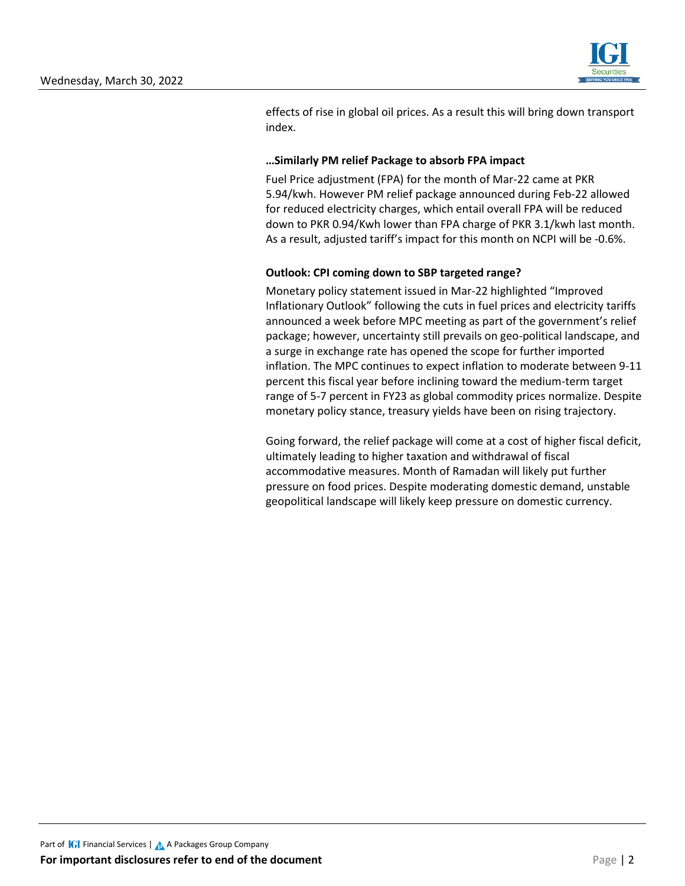

effects of rise in global oil prices. As a result this will bring down transport index.

#### **…Similarly PM relief Package to absorb FPA impact**

Fuel Price adjustment (FPA) for the month of Mar-22 came at PKR 5.94/kwh. However PM relief package announced during Feb-22 allowed for reduced electricity charges, which entail overall FPA will be reduced down to PKR 0.94/Kwh lower than FPA charge of PKR 3.1/kwh last month. As a result, adjusted tariff's impact for this month on NCPI will be -0.6%.

#### **Outlook: CPI coming down to SBP targeted range?**

Monetary policy statement issued in Mar-22 highlighted "Improved Inflationary Outlook" following the cuts in fuel prices and electricity tariffs announced a week before MPC meeting as part of the government's relief package; however, uncertainty still prevails on geo-political landscape, and a surge in exchange rate has opened the scope for further imported inflation. The MPC continues to expect inflation to moderate between 9-11 percent this fiscal year before inclining toward the medium-term target range of 5-7 percent in FY23 as global commodity prices normalize. Despite monetary policy stance, treasury yields have been on rising trajectory.

Going forward, the relief package will come at a cost of higher fiscal deficit, ultimately leading to higher taxation and withdrawal of fiscal accommodative measures. Month of Ramadan will likely put further pressure on food prices. Despite moderating domestic demand, unstable geopolitical landscape will likely keep pressure on domestic currency.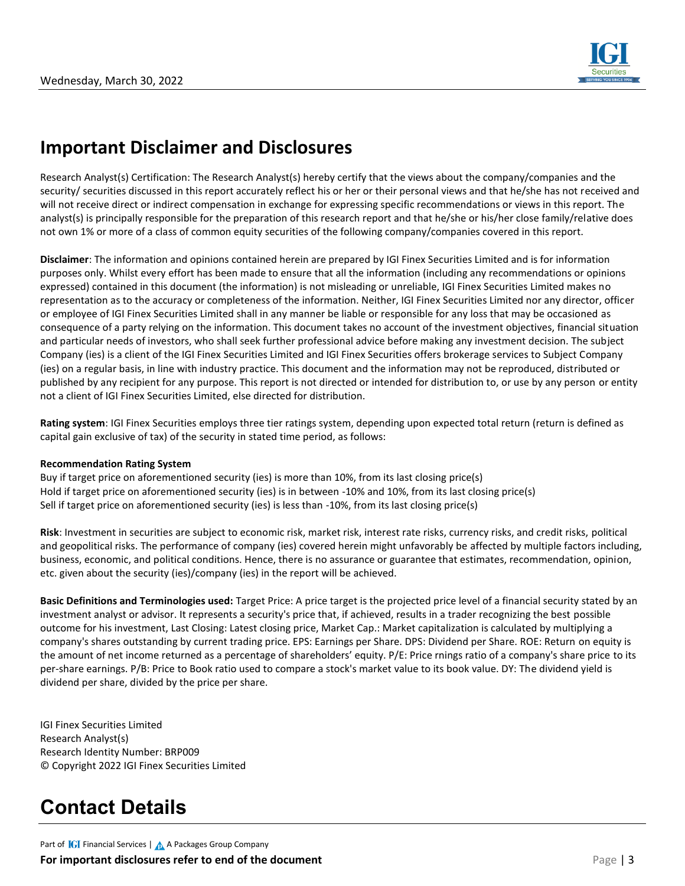

## **Important Disclaimer and Disclosures**

Research Analyst(s) Certification: The Research Analyst(s) hereby certify that the views about the company/companies and the security/ securities discussed in this report accurately reflect his or her or their personal views and that he/she has not received and will not receive direct or indirect compensation in exchange for expressing specific recommendations or views in this report. The analyst(s) is principally responsible for the preparation of this research report and that he/she or his/her close family/relative does not own 1% or more of a class of common equity securities of the following company/companies covered in this report.

**Disclaimer**: The information and opinions contained herein are prepared by IGI Finex Securities Limited and is for information purposes only. Whilst every effort has been made to ensure that all the information (including any recommendations or opinions expressed) contained in this document (the information) is not misleading or unreliable, IGI Finex Securities Limited makes no representation as to the accuracy or completeness of the information. Neither, IGI Finex Securities Limited nor any director, officer or employee of IGI Finex Securities Limited shall in any manner be liable or responsible for any loss that may be occasioned as consequence of a party relying on the information. This document takes no account of the investment objectives, financial situation and particular needs of investors, who shall seek further professional advice before making any investment decision. The subject Company (ies) is a client of the IGI Finex Securities Limited and IGI Finex Securities offers brokerage services to Subject Company (ies) on a regular basis, in line with industry practice. This document and the information may not be reproduced, distributed or published by any recipient for any purpose. This report is not directed or intended for distribution to, or use by any person or entity not a client of IGI Finex Securities Limited, else directed for distribution.

**Rating system**: IGI Finex Securities employs three tier ratings system, depending upon expected total return (return is defined as capital gain exclusive of tax) of the security in stated time period, as follows:

#### **Recommendation Rating System**

Buy if target price on aforementioned security (ies) is more than 10%, from its last closing price(s) Hold if target price on aforementioned security (ies) is in between -10% and 10%, from its last closing price(s) Sell if target price on aforementioned security (ies) is less than -10%, from its last closing price(s)

**Risk**: Investment in securities are subject to economic risk, market risk, interest rate risks, currency risks, and credit risks, political and geopolitical risks. The performance of company (ies) covered herein might unfavorably be affected by multiple factors including, business, economic, and political conditions. Hence, there is no assurance or guarantee that estimates, recommendation, opinion, etc. given about the security (ies)/company (ies) in the report will be achieved.

**Basic Definitions and Terminologies used:** Target Price: A price target is the projected price level of a financial security stated by an investment analyst or advisor. It represents a security's price that, if achieved, results in a trader recognizing the best possible outcome for his investment, Last Closing: Latest closing price, Market Cap.: Market capitalization is calculated by multiplying a company's shares outstanding by current trading price. EPS: Earnings per Share. DPS: Dividend per Share. ROE: Return on equity is the amount of net income returned as a percentage of shareholders' equity. P/E: Price rnings ratio of a company's share price to its per-share earnings. P/B: Price to Book ratio used to compare a stock's market value to its book value. DY: The dividend yield is dividend per share, divided by the price per share.

IGI Finex Securities Limited Research Analyst(s) Research Identity Number: BRP009 © Copyright 2022 IGI Finex Securities Limited

# **Contact Details**